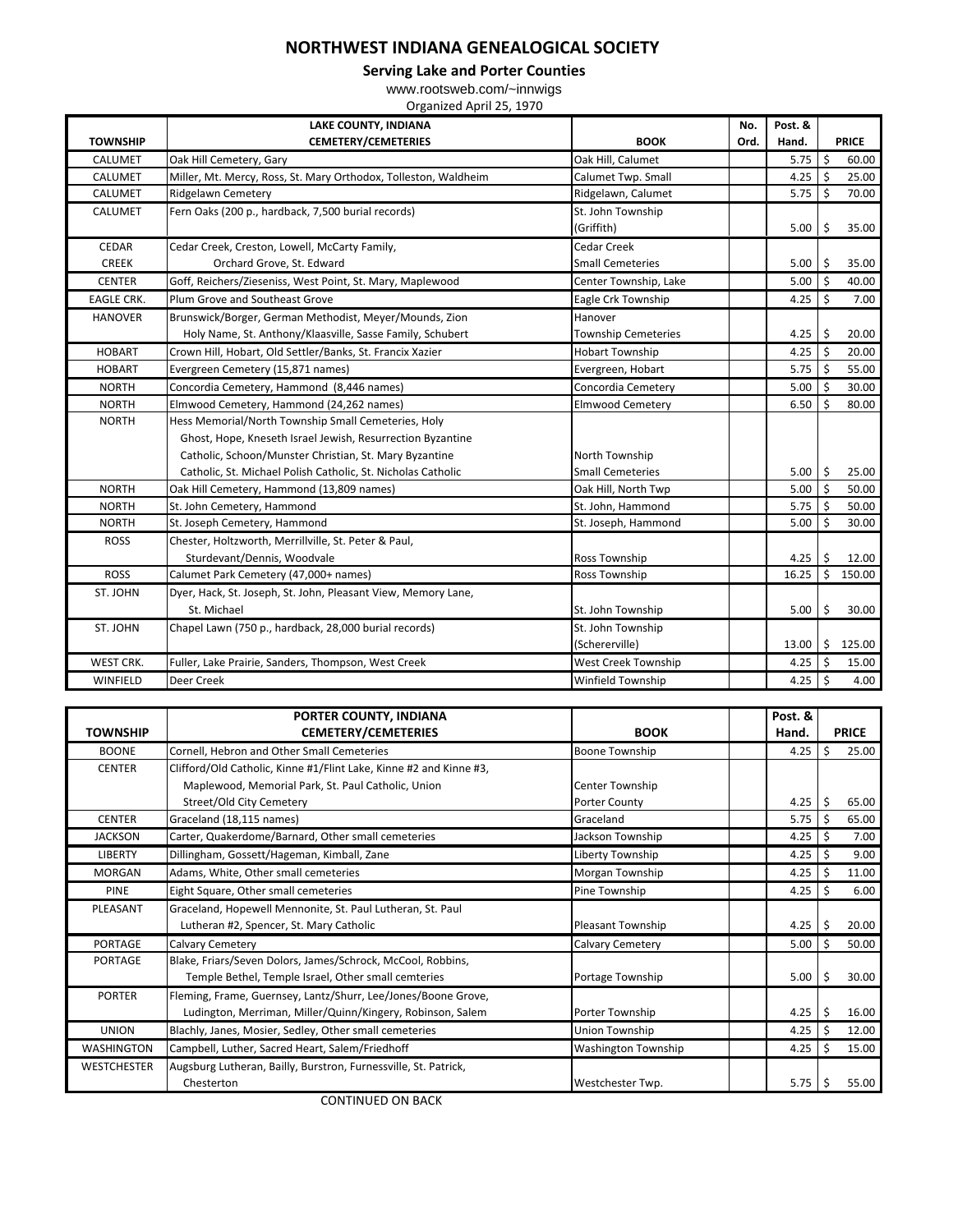## **NORTHWEST INDIANA GENEALOGICAL SOCIETY**

**Serving Lake and Porter Counties**

www.rootsweb.com/~innwigs Organized April 25, 1970

|                   | <b>LAKE COUNTY, INDIANA</b>                                     |                                 | Post. &<br>No. |       |               |              |
|-------------------|-----------------------------------------------------------------|---------------------------------|----------------|-------|---------------|--------------|
| <b>TOWNSHIP</b>   | <b>CEMETERY/CEMETERIES</b>                                      | <b>BOOK</b>                     | Ord.           | Hand. |               | <b>PRICE</b> |
| CALUMET           | Oak Hill Cemetery, Gary                                         | Oak Hill, Calumet               |                | 5.75  | Ŝ.            | 60.00        |
| CALUMET           | Miller, Mt. Mercy, Ross, St. Mary Orthodox, Tolleston, Waldheim | Calumet Twp. Small              |                | 4.25  | Ŝ.            | 25.00        |
| CALUMET           | <b>Ridgelawn Cemetery</b>                                       | Ridgelawn, Calumet              |                | 5.75  | Ŝ.            | 70.00        |
| <b>CALUMET</b>    | Fern Oaks (200 p., hardback, 7,500 burial records)              | St. John Township<br>(Griffith) |                | 5.00  | Ŝ.            | 35.00        |
| <b>CEDAR</b>      | Cedar Creek, Creston, Lowell, McCarty Family,                   | Cedar Creek                     |                |       |               |              |
| <b>CREEK</b>      | Orchard Grove, St. Edward                                       | <b>Small Cemeteries</b>         |                | 5.00  | Ŝ.            | 35.00        |
| <b>CENTER</b>     | Goff, Reichers/Zieseniss, West Point, St. Mary, Maplewood       | Center Township, Lake           |                | 5.00  | Ŝ.            | 40.00        |
| <b>EAGLE CRK.</b> | Plum Grove and Southeast Grove                                  | Eagle Crk Township              |                | 4.25  | Ŝ.            | 7.00         |
| <b>HANOVER</b>    | Brunswick/Borger, German Methodist, Meyer/Mounds, Zion          | Hanover                         |                |       |               |              |
|                   | Holy Name, St. Anthony/Klaasville, Sasse Family, Schubert       | <b>Township Cemeteries</b>      |                | 4.25  | \$            | 20.00        |
| <b>HOBART</b>     | Crown Hill, Hobart, Old Settler/Banks, St. Francix Xazier       | <b>Hobart Township</b>          |                | 4.25  | S.            | 20.00        |
| <b>HOBART</b>     | Evergreen Cemetery (15,871 names)                               | Evergreen, Hobart               |                | 5.75  | S.            | 55.00        |
| <b>NORTH</b>      | Concordia Cemetery, Hammond (8,446 names)                       | Concordia Cemetery              |                | 5.00  | <sup>\$</sup> | 30.00        |
| <b>NORTH</b>      | Elmwood Cemetery, Hammond (24,262 names)                        | <b>Elmwood Cemetery</b>         |                | 6.50  | Ś.            | 80.00        |
| <b>NORTH</b>      | Hess Memorial/North Township Small Cemeteries, Holy             |                                 |                |       |               |              |
|                   | Ghost, Hope, Kneseth Israel Jewish, Resurrection Byzantine      |                                 |                |       |               |              |
|                   | Catholic, Schoon/Munster Christian, St. Mary Byzantine          | North Township                  |                |       |               |              |
|                   | Catholic, St. Michael Polish Catholic, St. Nicholas Catholic    | <b>Small Cemeteries</b>         |                | 5.00  | \$            | 25.00        |
| <b>NORTH</b>      | Oak Hill Cemetery, Hammond (13,809 names)                       | Oak Hill, North Twp             |                | 5.00  | Ś.            | 50.00        |
| <b>NORTH</b>      | St. John Cemetery, Hammond                                      | St. John, Hammond               |                | 5.75  | Ŝ.            | 50.00        |
| <b>NORTH</b>      | St. Joseph Cemetery, Hammond                                    | St. Joseph, Hammond             |                | 5.00  | Ś.            | 30.00        |
| <b>ROSS</b>       | Chester, Holtzworth, Merrillville, St. Peter & Paul,            |                                 |                |       |               |              |
|                   | Sturdevant/Dennis, Woodvale                                     | <b>Ross Township</b>            |                | 4.25  |               | 12.00        |
| <b>ROSS</b>       | Calumet Park Cemetery (47,000+ names)                           | Ross Township                   |                | 16.25 | Ś.            | 150.00       |
| ST. JOHN          | Dyer, Hack, St. Joseph, St. John, Pleasant View, Memory Lane,   |                                 |                |       |               |              |
|                   | St. Michael                                                     | St. John Township               |                | 5.00  | Ś.            | 30.00        |
| ST. JOHN          | Chapel Lawn (750 p., hardback, 28,000 burial records)           | St. John Township               |                |       |               |              |
|                   |                                                                 | (Schererville)                  |                | 13.00 | \$            | 125.00       |
| WEST CRK.         | Fuller, Lake Prairie, Sanders, Thompson, West Creek             | West Creek Township             |                | 4.25  | \$            | 15.00        |
| WINFIELD          | Deer Creek                                                      | <b>Winfield Township</b>        |                | 4.25  | \$            | 4.00         |

|                    | PORTER COUNTY, INDIANA                                             |                            | Post. &   |               |
|--------------------|--------------------------------------------------------------------|----------------------------|-----------|---------------|
| <b>TOWNSHIP</b>    | <b>CEMETERY/CEMETERIES</b>                                         | <b>BOOK</b>                | Hand.     | <b>PRICE</b>  |
| <b>BOONE</b>       | Cornell, Hebron and Other Small Cemeteries                         | Boone Township             | 4.25      | Ŝ.<br>25.00   |
| <b>CENTER</b>      | Clifford/Old Catholic, Kinne #1/Flint Lake, Kinne #2 and Kinne #3, |                            |           |               |
|                    | Maplewood, Memorial Park, St. Paul Catholic, Union                 | Center Township            |           |               |
|                    | Street/Old City Cemetery                                           | Porter County              | 4.25      | 65.00<br>-\$  |
| <b>CENTER</b>      | Graceland (18,115 names)                                           | Graceland                  | 5.75      | l \$<br>65.00 |
| <b>JACKSON</b>     | Carter, Quakerdome/Barnard, Other small cemeteries                 | Jackson Township           | 4.25 \$   | 7.00          |
| <b>LIBERTY</b>     | Dillingham, Gossett/Hageman, Kimball, Zane                         | Liberty Township           | 4.25      | 9.00          |
| <b>MORGAN</b>      | Adams, White, Other small cemeteries                               | Morgan Township            | $4.25$ \$ | 11.00         |
| <b>PINE</b>        | Eight Square, Other small cemeteries                               | Pine Township              | 4.25      | 6.00<br>l \$  |
| PLEASANT           | Graceland, Hopewell Mennonite, St. Paul Lutheran, St. Paul         |                            |           |               |
|                    | Lutheran #2, Spencer, St. Mary Catholic                            | Pleasant Township          | 4.25      | 20.00         |
| <b>PORTAGE</b>     | <b>Calvary Cemetery</b>                                            | <b>Calvary Cemetery</b>    | 5.00      | -Ś<br>50.00   |
| <b>PORTAGE</b>     | Blake, Friars/Seven Dolors, James/Schrock, McCool, Robbins,        |                            |           |               |
|                    | Temple Bethel, Temple Israel, Other small cemteries                | Portage Township           | 5.00      | 30.00<br>\$   |
| <b>PORTER</b>      | Fleming, Frame, Guernsey, Lantz/Shurr, Lee/Jones/Boone Grove,      |                            |           |               |
|                    | Ludington, Merriman, Miller/Quinn/Kingery, Robinson, Salem         | Porter Township            | 4.25      | 16.00         |
| <b>UNION</b>       | Blachly, Janes, Mosier, Sedley, Other small cemeteries             | Union Township             | $4.25$ \$ | 12.00         |
| <b>WASHINGTON</b>  | Campbell, Luther, Sacred Heart, Salem/Friedhoff                    | <b>Washington Township</b> | 4.25      | 15.00<br>l Ś  |
| <b>WESTCHESTER</b> | Augsburg Lutheran, Bailly, Burstron, Furnessville, St. Patrick,    |                            |           |               |
|                    | Chesterton                                                         | Westchester Twp.           | 5.75      | 55.00         |

CONTINUED ON BACK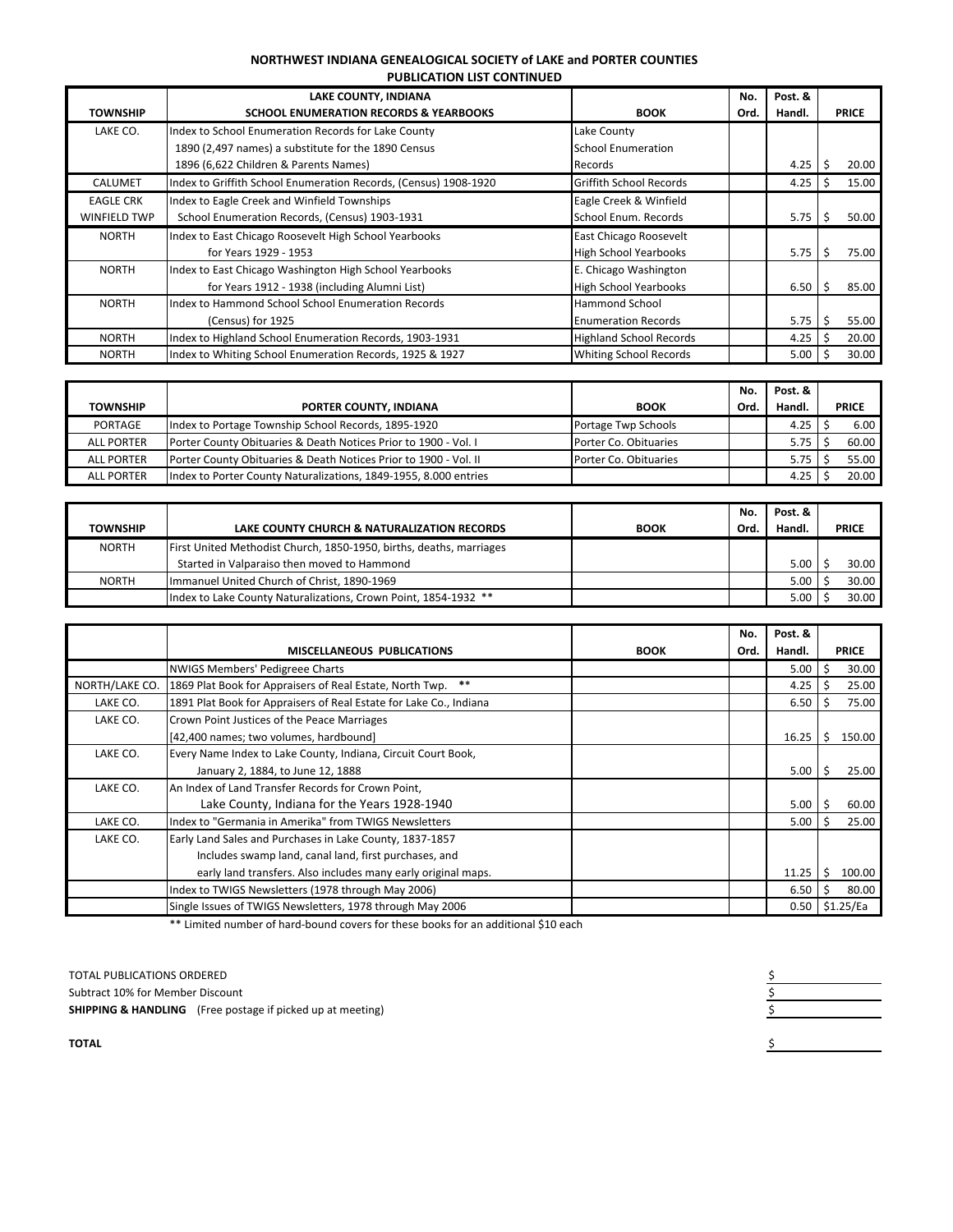## **NORTHWEST INDIANA GENEALOGICAL SOCIETY of LAKE and PORTER COUNTIES PUBLICATION LIST CONTINUED**

| TOWNSHIP            | LAKE COUNTY, INDIANA<br><b>SCHOOL ENUMERATION RECORDS &amp; YEARBOOKS</b> | <b>BOOK</b>                    | No.<br>Ord. | Post. &<br>Handl. | <b>PRICE</b> |       |  |  |
|---------------------|---------------------------------------------------------------------------|--------------------------------|-------------|-------------------|--------------|-------|--|--|
| LAKE CO.            | Index to School Enumeration Records for Lake County                       | Lake County                    |             |                   |              |       |  |  |
|                     | 1890 (2,497 names) a substitute for the 1890 Census                       | <b>School Enumeration</b>      |             |                   |              |       |  |  |
|                     | 1896 (6,622 Children & Parents Names)                                     | Records                        |             | 4.25              |              | 20.00 |  |  |
| <b>CALUMET</b>      | Index to Griffith School Enumeration Records, (Census) 1908-1920          | <b>Griffith School Records</b> |             | 4.25              |              | 15.00 |  |  |
| <b>EAGLE CRK</b>    | Index to Eagle Creek and Winfield Townships                               | Eagle Creek & Winfield         |             |                   |              |       |  |  |
| <b>WINFIELD TWP</b> | School Enumeration Records, (Census) 1903-1931                            | School Enum. Records           |             | 5.75              |              | 50.00 |  |  |
| <b>NORTH</b>        | Index to East Chicago Roosevelt High School Yearbooks                     | East Chicago Roosevelt         |             |                   |              |       |  |  |
|                     | for Years 1929 - 1953                                                     | <b>High School Yearbooks</b>   |             | 5.75              |              | 75.00 |  |  |
| <b>NORTH</b>        | Index to East Chicago Washington High School Yearbooks                    | E. Chicago Washington          |             |                   |              |       |  |  |
|                     | for Years 1912 - 1938 (including Alumni List)                             | <b>High School Yearbooks</b>   |             | 6.50              |              | 85.00 |  |  |
| <b>NORTH</b>        | Index to Hammond School School Enumeration Records                        | <b>Hammond School</b>          |             |                   |              |       |  |  |
|                     | (Census) for 1925                                                         | <b>Enumeration Records</b>     |             | 5.75              |              | 55.00 |  |  |
| <b>NORTH</b>        | Index to Highland School Enumeration Records, 1903-1931                   | <b>Highland School Records</b> |             | 4.25              |              | 20.00 |  |  |
| <b>NORTH</b>        | Index to Whiting School Enumeration Records, 1925 & 1927                  | <b>Whiting School Records</b>  |             | 5.00              |              | 30.00 |  |  |

|                   |                                                                  |                       | No.  | Post. & |              |       |
|-------------------|------------------------------------------------------------------|-----------------------|------|---------|--------------|-------|
| <b>TOWNSHIP</b>   | <b>PORTER COUNTY, INDIANA</b>                                    | <b>BOOK</b>           | Ord. | Handl.  | <b>PRICE</b> |       |
| <b>PORTAGE</b>    | Index to Portage Township School Records, 1895-1920              | Portage Twp Schools   |      | 4.25    |              | 6.00  |
| <b>ALL PORTER</b> | Porter County Obituaries & Death Notices Prior to 1900 - Vol. I  | Porter Co. Obituaries |      | 5.75    |              | 60.00 |
| <b>ALL PORTER</b> | Porter County Obituaries & Death Notices Prior to 1900 - Vol. II | Porter Co. Obituaries |      | 5.75    |              | 55.00 |
| <b>ALL PORTER</b> | Index to Porter County Naturalizations, 1849-1955, 8.000 entries |                       |      | 4.25    |              | 20.00 |

|                 |                                                                     |             | No.  | Post. &                |  |       |
|-----------------|---------------------------------------------------------------------|-------------|------|------------------------|--|-------|
| <b>TOWNSHIP</b> | LAKE COUNTY CHURCH & NATURALIZATION RECORDS                         | <b>BOOK</b> | Ord. | Handl.<br><b>PRICE</b> |  |       |
| <b>NORTH</b>    | First United Methodist Church, 1850-1950, births, deaths, marriages |             |      |                        |  |       |
|                 | Started in Valparaiso then moved to Hammond                         |             |      | 5.00                   |  | 30.00 |
| <b>NORTH</b>    | Immanuel United Church of Christ, 1890-1969                         |             |      | $5.00 \mid$            |  | 30.00 |
|                 | Index to Lake County Naturalizations, Crown Point, 1854-1932 **     |             |      | 5.00                   |  | 30.00 |

|                |                                                                    |  | No.  | Post. & |    |              |
|----------------|--------------------------------------------------------------------|--|------|---------|----|--------------|
|                | <b>MISCELLANEOUS PUBLICATIONS</b><br><b>BOOK</b>                   |  | Ord. | Handl.  |    | <b>PRICE</b> |
|                | NWIGS Members' Pedigreee Charts                                    |  |      | 5.00    |    | 30.00        |
| NORTH/LAKE CO. | 1869 Plat Book for Appraisers of Real Estate, North Twp. **        |  |      | 4.25    |    | 25.00        |
| LAKE CO.       | 1891 Plat Book for Appraisers of Real Estate for Lake Co., Indiana |  |      | 6.50    |    | 75.00        |
| LAKE CO.       | Crown Point Justices of the Peace Marriages                        |  |      |         |    |              |
|                | [42,400 names; two volumes, hardbound]                             |  |      | 16.25   | -S | 150.00       |
| LAKE CO.       | Every Name Index to Lake County, Indiana, Circuit Court Book,      |  |      |         |    |              |
|                | January 2, 1884, to June 12, 1888                                  |  |      | 5.00    |    | 25.00        |
| LAKE CO.       | An Index of Land Transfer Records for Crown Point,                 |  |      |         |    |              |
|                | Lake County, Indiana for the Years 1928-1940                       |  |      | 5.00    |    | 60.00        |
| LAKE CO.       | Index to "Germania in Amerika" from TWIGS Newsletters              |  |      | 5.00    |    | 25.00        |
| LAKE CO.       | Early Land Sales and Purchases in Lake County, 1837-1857           |  |      |         |    |              |
|                | Includes swamp land, canal land, first purchases, and              |  |      |         |    |              |
|                | early land transfers. Also includes many early original maps.      |  |      | 11.25   |    | 100.00       |
|                | Index to TWIGS Newsletters (1978 through May 2006)                 |  |      | 6.50    |    | 80.00        |
|                | Single Issues of TWIGS Newsletters, 1978 through May 2006          |  |      | 0.50    |    | \$1.25/Ea    |

\*\* Limited number of hard‐bound covers for these books for an additional \$10 each

TOTAL PUBLICATIONS ORDERED<br>
Subtract 10% for Member Discount<br>
SHIPPING & HANDLING (Free postage if picked up at meeting)<br>
SHIPPING & HANDLING (Free postage if picked up at meeting) Subtract 10% for Member Discount **SHIPPING & HANDLING** (Free postage if picked up at meeting)

**TOTAL** \$